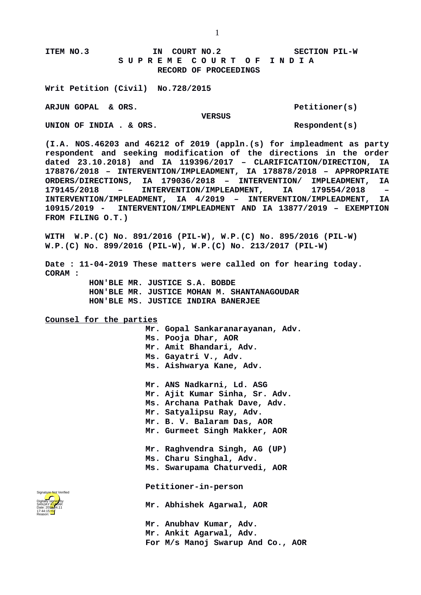## **ITEM NO.3 IN COURT NO.2 SECTION PIL-W S U P R E M E C O U R T O F I N D I A RECORD OF PROCEEDINGS**

**Writ Petition (Civil) No.728/2015**

**ARJUN GOPAL & ORS. Petitioner(s)**

 **VERSUS**

UNION OF INDIA . & ORS. Respondent(s)

**(I.A. NOS.46203 and 46212 of 2019 (appln.(s) for impleadment as party respondent and seeking modification of the directions in the order dated 23.10.2018) and IA 119396/2017 – CLARIFICATION/DIRECTION, IA 178876/2018 – INTERVENTION/IMPLEADMENT, IA 178878/2018 – APPROPRIATE ORDERS/DIRECTIONS, IA 179036/2018 – INTERVENTION/ IMPLEADMENT, IA 179145/2018 – INTERVENTION/IMPLEADMENT, IA 179554/2018 – INTERVENTION/IMPLEADMENT, IA 4/2019 – INTERVENTION/IMPLEADMENT, IA 10915/2019 - INTERVENTION/IMPLEADMENT AND IA 13877/2019 – EXEMPTION FROM FILING O.T.)**

**WITH W.P.(C) No. 891/2016 (PIL-W), W.P.(C) No. 895/2016 (PIL-W) W.P.(C) No. 899/2016 (PIL-W), W.P.(C) No. 213/2017 (PIL-W)**

**Date : 11-04-2019 These matters were called on for hearing today. CORAM :** 

 **HON'BLE MR. JUSTICE S.A. BOBDE HON'BLE MR. JUSTICE MOHAN M. SHANTANAGOUDAR HON'BLE MS. JUSTICE INDIRA BANERJEE**

**Counsel for the parties**

 **Mr. Gopal Sankaranarayanan, Adv. Ms. Pooja Dhar, AOR Mr. Amit Bhandari, Adv. Ms. Gayatri V., Adv. Ms. Aishwarya Kane, Adv. Mr. ANS Nadkarni, Ld. ASG Mr. Ajit Kumar Sinha, Sr. Adv. Ms. Archana Pathak Dave, Adv. Mr. Satyalipsu Ray, Adv. Mr. B. V. Balaram Das, AOR Mr. Gurmeet Singh Makker, AOR**

**Mr. Raghvendra Singh, AG (UP) Ms. Charu Singhal, Adv.** 

**Ms. Swarupama Chaturvedi, AOR**

**Petitioner-in-person** 

**Mr. Abhishek Agarwal, AOR**

**Mr. Anubhav Kumar, Adv. Mr. Ankit Agarwal, Adv. For M/s Manoj Swarup And Co., AOR**

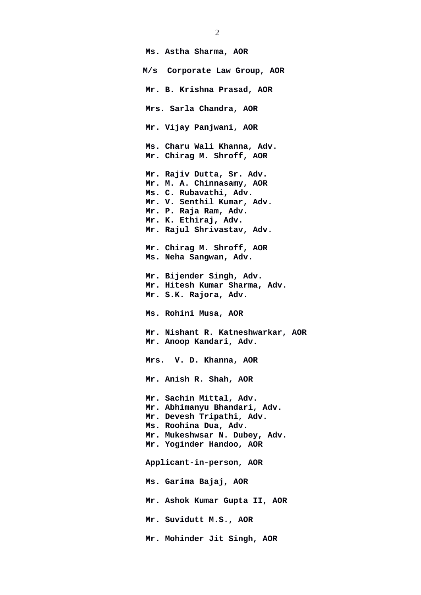**Ms. Astha Sharma, AOR M/s Corporate Law Group, AOR Mr. B. Krishna Prasad, AOR Mrs. Sarla Chandra, AOR Mr. Vijay Panjwani, AOR Ms. Charu Wali Khanna, Adv. Mr. Chirag M. Shroff, AOR Mr. Rajiv Dutta, Sr. Adv. Mr. M. A. Chinnasamy, AOR Ms. C. Rubavathi, Adv. Mr. V. Senthil Kumar, Adv. Mr. P. Raja Ram, Adv. Mr. K. Ethiraj, Adv. Mr. Rajul Shrivastav, Adv. Mr. Chirag M. Shroff, AOR Ms. Neha Sangwan, Adv. Mr. Bijender Singh, Adv. Mr. Hitesh Kumar Sharma, Adv. Mr. S.K. Rajora, Adv. Ms. Rohini Musa, AOR Mr. Nishant R. Katneshwarkar, AOR Mr. Anoop Kandari, Adv. Mrs. V. D. Khanna, AOR Mr. Anish R. Shah, AOR Mr. Sachin Mittal, Adv. Mr. Abhimanyu Bhandari, Adv. Mr. Devesh Tripathi, Adv. Ms. Roohina Dua, Adv. Mr. Mukeshwsar N. Dubey, Adv. Mr. Yoginder Handoo, AOR Applicant-in-person, AOR Ms. Garima Bajaj, AOR Mr. Ashok Kumar Gupta II, AOR Mr. Suvidutt M.S., AOR Mr. Mohinder Jit Singh, AOR**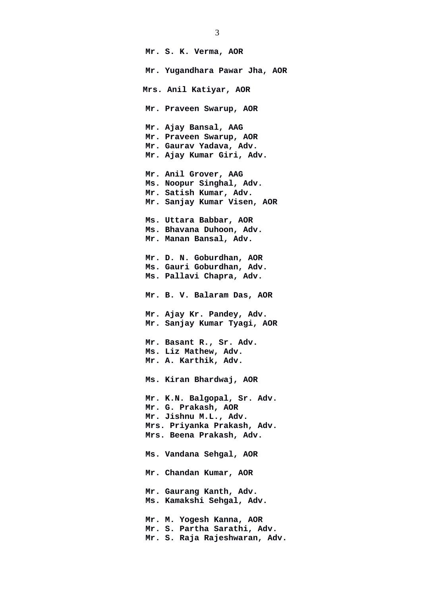**Mr. S. K. Verma, AOR Mr. Yugandhara Pawar Jha, AOR Mrs. Anil Katiyar, AOR Mr. Praveen Swarup, AOR Mr. Ajay Bansal, AAG Mr. Praveen Swarup, AOR Mr. Gaurav Yadava, Adv. Mr. Ajay Kumar Giri, Adv. Mr. Anil Grover, AAG Ms. Noopur Singhal, Adv. Mr. Satish Kumar, Adv. Mr. Sanjay Kumar Visen, AOR Ms. Uttara Babbar, AOR Ms. Bhavana Duhoon, Adv. Mr. Manan Bansal, Adv. Mr. D. N. Goburdhan, AOR Ms. Gauri Goburdhan, Adv. Ms. Pallavi Chapra, Adv. Mr. B. V. Balaram Das, AOR Mr. Ajay Kr. Pandey, Adv. Mr. Sanjay Kumar Tyagi, AOR Mr. Basant R., Sr. Adv. Ms. Liz Mathew, Adv. Mr. A. Karthik, Adv. Ms. Kiran Bhardwaj, AOR Mr. K.N. Balgopal, Sr. Adv. Mr. G. Prakash, AOR Mr. Jishnu M.L., Adv. Mrs. Priyanka Prakash, Adv. Mrs. Beena Prakash, Adv. Ms. Vandana Sehgal, AOR Mr. Chandan Kumar, AOR Mr. Gaurang Kanth, Adv. Ms. Kamakshi Sehgal, Adv. Mr. M. Yogesh Kanna, AOR Mr. S. Partha Sarathi, Adv. Mr. S. Raja Rajeshwaran, Adv.** 

3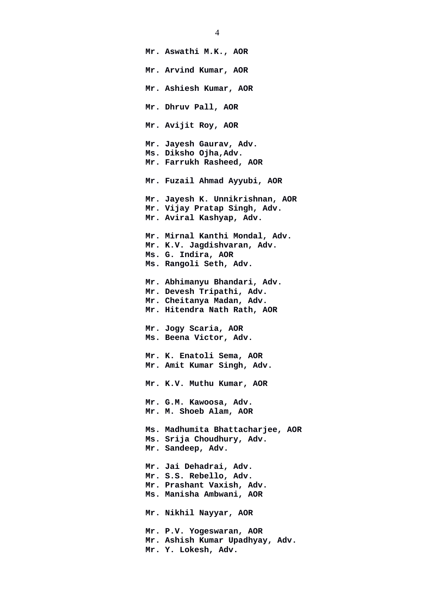**Mr. Aswathi M.K., AOR Mr. Arvind Kumar, AOR Mr. Ashiesh Kumar, AOR Mr. Dhruv Pall, AOR Mr. Avijit Roy, AOR Mr. Jayesh Gaurav, Adv. Ms. Diksho Ojha,Adv. Mr. Farrukh Rasheed, AOR Mr. Fuzail Ahmad Ayyubi, AOR Mr. Jayesh K. Unnikrishnan, AOR Mr. Vijay Pratap Singh, Adv. Mr. Aviral Kashyap, Adv. Mr. Mirnal Kanthi Mondal, Adv. Mr. K.V. Jagdishvaran, Adv. Ms. G. Indira, AOR Ms. Rangoli Seth, Adv. Mr. Abhimanyu Bhandari, Adv. Mr. Devesh Tripathi, Adv. Mr. Cheitanya Madan, Adv. Mr. Hitendra Nath Rath, AOR Mr. Jogy Scaria, AOR Ms. Beena Victor, Adv. Mr. K. Enatoli Sema, AOR Mr. Amit Kumar Singh, Adv. Mr. K.V. Muthu Kumar, AOR Mr. G.M. Kawoosa, Adv. Mr. M. Shoeb Alam, AOR Ms. Madhumita Bhattacharjee, AOR Ms. Srija Choudhury, Adv. Mr. Sandeep, Adv. Mr. Jai Dehadrai, Adv. Mr. S.S. Rebello, Adv. Mr. Prashant Vaxish, Adv. Ms. Manisha Ambwani, AOR Mr. Nikhil Nayyar, AOR Mr. P.V. Yogeswaran, AOR Mr. Ashish Kumar Upadhyay, Adv. Mr. Y. Lokesh, Adv.** 

4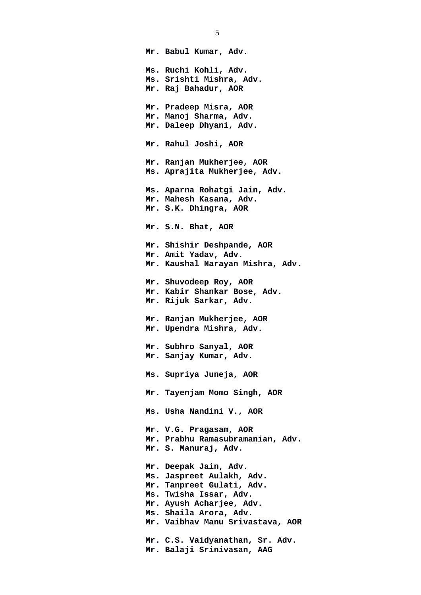**Mr. Babul Kumar, Adv. Ms. Ruchi Kohli, Adv. Ms. Srishti Mishra, Adv. Mr. Raj Bahadur, AOR Mr. Pradeep Misra, AOR Mr. Manoj Sharma, Adv. Mr. Daleep Dhyani, Adv. Mr. Rahul Joshi, AOR Mr. Ranjan Mukherjee, AOR Ms. Aprajita Mukherjee, Adv. Ms. Aparna Rohatgi Jain, Adv. Mr. Mahesh Kasana, Adv. Mr. S.K. Dhingra, AOR Mr. S.N. Bhat, AOR Mr. Shishir Deshpande, AOR Mr. Amit Yadav, Adv. Mr. Kaushal Narayan Mishra, Adv. Mr. Shuvodeep Roy, AOR Mr. Kabir Shankar Bose, Adv. Mr. Rijuk Sarkar, Adv. Mr. Ranjan Mukherjee, AOR Mr. Upendra Mishra, Adv. Mr. Subhro Sanyal, AOR Mr. Sanjay Kumar, Adv. Ms. Supriya Juneja, AOR Mr. Tayenjam Momo Singh, AOR Ms. Usha Nandini V., AOR Mr. V.G. Pragasam, AOR Mr. Prabhu Ramasubramanian, Adv. Mr. S. Manuraj, Adv. Mr. Deepak Jain, Adv. Ms. Jaspreet Aulakh, Adv. Mr. Tanpreet Gulati, Adv. Ms. Twisha Issar, Adv. Mr. Ayush Acharjee, Adv. Ms. Shaila Arora, Adv. Mr. Vaibhav Manu Srivastava, AOR Mr. C.S. Vaidyanathan, Sr. Adv. Mr. Balaji Srinivasan, AAG**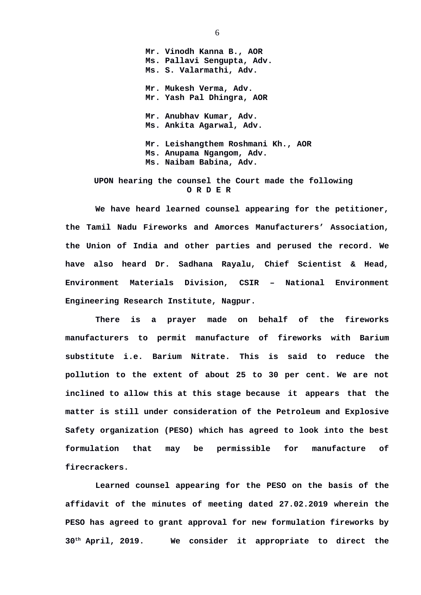**Mr. Vinodh Kanna B., AOR Ms. Pallavi Sengupta, Adv. Ms. S. Valarmathi, Adv. Mr. Mukesh Verma, Adv. Mr. Yash Pal Dhingra, AOR Mr. Anubhav Kumar, Adv. Ms. Ankita Agarwal, Adv. Mr. Leishangthem Roshmani Kh., AOR Ms. Anupama Ngangom, Adv. Ms. Naibam Babina, Adv.** 

## **UPON hearing the counsel the Court made the following O R D E R**

**We have heard learned counsel appearing for the petitioner, the Tamil Nadu Fireworks and Amorces Manufacturers' Association, the Union of India and other parties and perused the record. We have also heard Dr. Sadhana Rayalu, Chief Scientist & Head, Environment Materials Division, CSIR – National Environment Engineering Research Institute, Nagpur.** 

**There is a prayer made on behalf of the fireworks manufacturers to permit manufacture of fireworks with Barium substitute i.e. Barium Nitrate. This is said to reduce the pollution to the extent of about 25 to 30 per cent. We are not inclined to allow this at this stage because it appears that the matter is still under consideration of the Petroleum and Explosive Safety organization (PESO) which has agreed to look into the best formulation that may be permissible for manufacture of firecrackers.** 

**Learned counsel appearing for the PESO on the basis of the affidavit of the minutes of meeting dated 27.02.2019 wherein the PESO has agreed to grant approval for new formulation fireworks by 30th April, 2019. We consider it appropriate to direct the**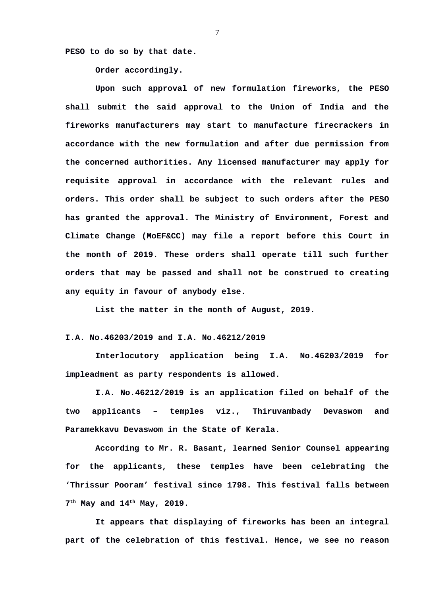**PESO to do so by that date.** 

**Order accordingly.** 

**Upon such approval of new formulation fireworks, the PESO shall submit the said approval to the Union of India and the fireworks manufacturers may start to manufacture firecrackers in accordance with the new formulation and after due permission from the concerned authorities. Any licensed manufacturer may apply for requisite approval in accordance with the relevant rules and orders. This order shall be subject to such orders after the PESO has granted the approval. The Ministry of Environment, Forest and Climate Change (MoEF&CC) may file a report before this Court in the month of 2019. These orders shall operate till such further orders that may be passed and shall not be construed to creating any equity in favour of anybody else.** 

**List the matter in the month of August, 2019.** 

## **I.A. No.46203/2019 and I.A. No.46212/2019**

**Interlocutory application being I.A. No.46203/2019 for impleadment as party respondents is allowed.**

**I.A. No.46212/2019 is an application filed on behalf of the two applicants – temples viz., Thiruvambady Devaswom and Paramekkavu Devaswom in the State of Kerala.**

**According to Mr. R. Basant, learned Senior Counsel appearing for the applicants, these temples have been celebrating the 'Thrissur Pooram' festival since 1798. This festival falls between 7 th May and 14th May, 2019.**

**It appears that displaying of fireworks has been an integral part of the celebration of this festival. Hence, we see no reason**

7